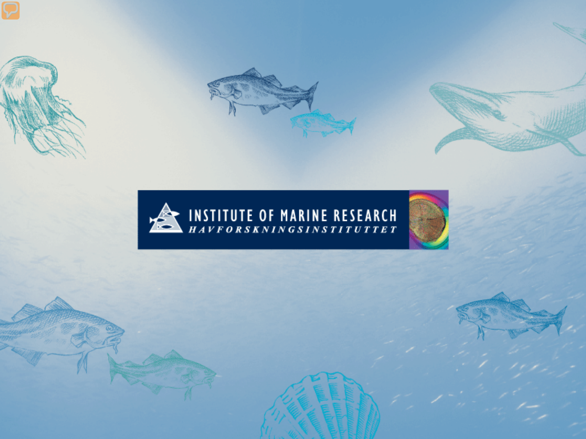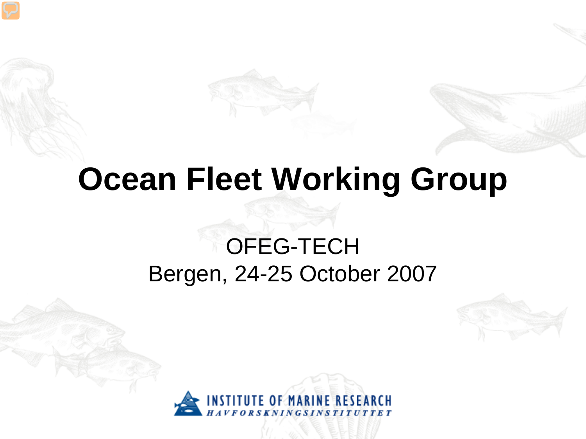## **Ocean Fleet Working Group**

### OFEG-TECH Bergen, 24-25 October 2007



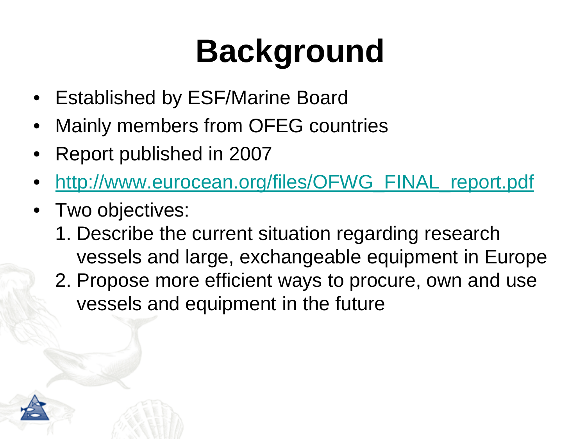# **Background**

- Established by ESF/Marine Board
- Mainly members from OFEG countries
- Report published in 2007
- [http://www.eurocean.org/files/OFWG\\_FINAL\\_report.pdf](http://www.eurocean.org/files/OFWG_FINAL_report.pdf)
- Two objectives:
	- 1. Describe the current situation regarding research vessels and large, exchangeable equipment in Europe
	- 2. Propose more efficient ways to procure, own and use vessels and equipment in the future

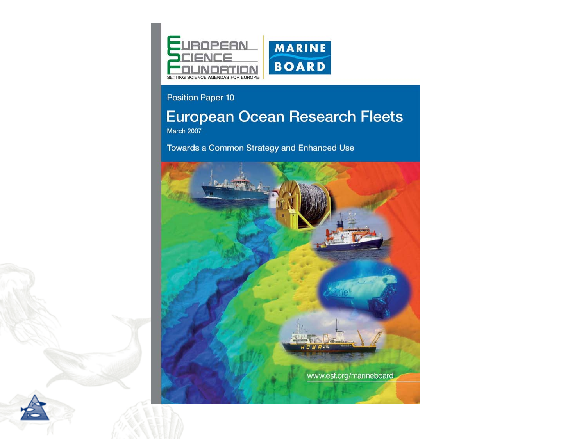

#### Position Paper 10

### **European Ocean Research Fleets**

March 2007

Towards a Common Strategy and Enhanced Use

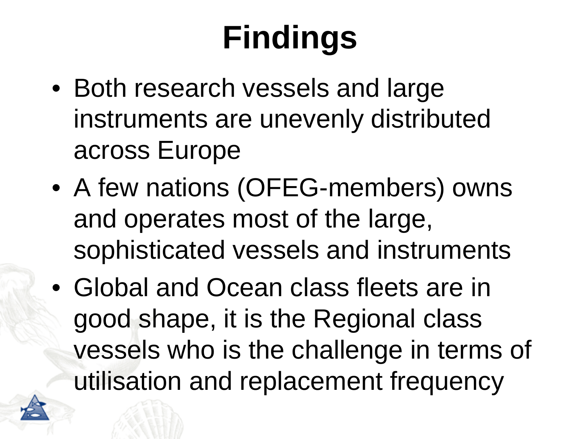# **Findings**

- Both research vessels and large instruments are unevenly distributed across Europe
- A few nations (OFEG-members) owns and operates most of the large, sophisticated vessels and instruments
- Global and Ocean class fleets are in good shape, it is the Regional class vessels who is the challenge in terms of utilisation and replacement frequency

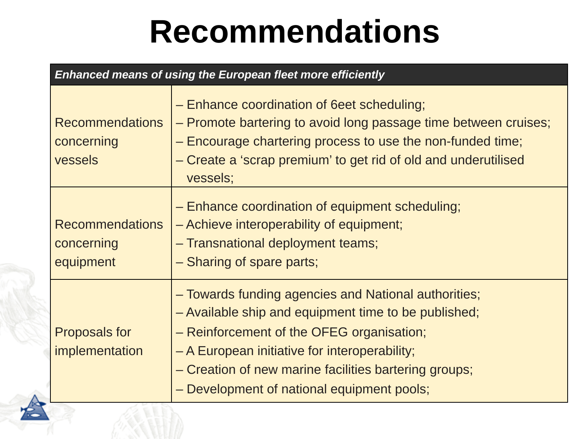# **Recommendations**

| <b>Enhanced means of using the European fleet more efficiently</b> |                                                                                                                                                                                                                                                                                                                   |  |
|--------------------------------------------------------------------|-------------------------------------------------------------------------------------------------------------------------------------------------------------------------------------------------------------------------------------------------------------------------------------------------------------------|--|
| <b>Recommendations</b><br>concerning<br>vessels                    | - Enhance coordination of 6eet scheduling;<br>- Promote bartering to avoid long passage time between cruises;<br>- Encourage chartering process to use the non-funded time;<br>- Create a 'scrap premium' to get rid of old and underutilised<br>vessels;                                                         |  |
| <b>Recommendations</b><br>concerning<br>equipment                  | - Enhance coordination of equipment scheduling;<br>- Achieve interoperability of equipment;<br>- Transnational deployment teams;<br>- Sharing of spare parts;                                                                                                                                                     |  |
| <b>Proposals for</b><br>implementation                             | - Towards funding agencies and National authorities;<br>- Available ship and equipment time to be published;<br>- Reinforcement of the OFEG organisation;<br>- A European initiative for interoperability;<br>- Creation of new marine facilities bartering groups;<br>- Development of national equipment pools; |  |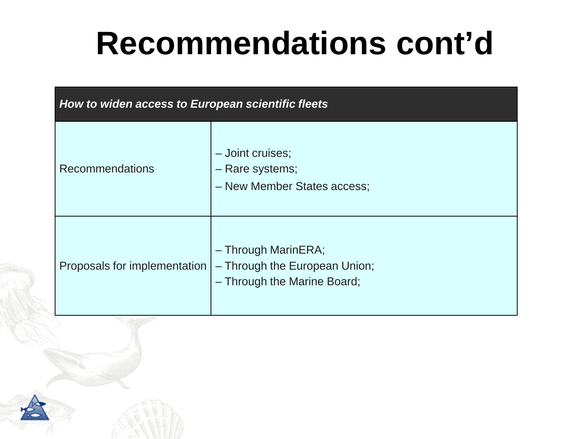# **Recommendations cont'd**

| How to widen access to European scientific fleets |                                                                                     |  |
|---------------------------------------------------|-------------------------------------------------------------------------------------|--|
| <b>Recommendations</b>                            | - Joint cruises;<br>- Rare systems;<br>- New Member States access;                  |  |
| Proposals for implementation                      | - Through MarinERA;<br>- Through the European Union;<br>- Through the Marine Board; |  |